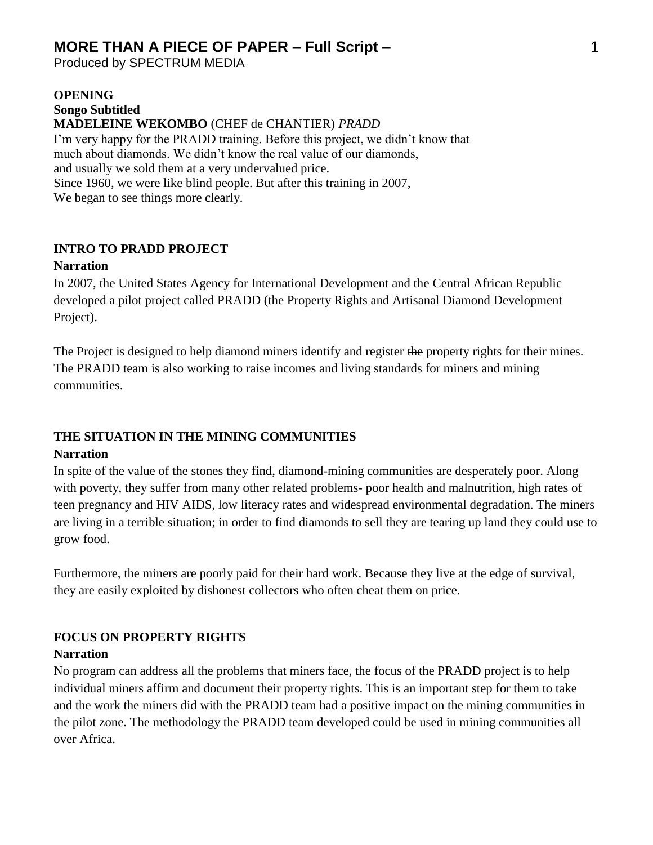Produced by SPECTRUM MEDIA

#### **OPENING Songo Subtitled MADELEINE WEKOMBO** (CHEF de CHANTIER) *PRADD*  I'm very happy for the PRADD training. Before this project, we didn't know that

much about diamonds. We didn't know the real value of our diamonds, and usually we sold them at a very undervalued price. Since 1960, we were like blind people. But after this training in 2007, We began to see things more clearly.

### **INTRO TO PRADD PROJECT**

#### **Narration**

In 2007, the United States Agency for International Development and the Central African Republic developed a pilot project called PRADD (the Property Rights and Artisanal Diamond Development Project).

The Project is designed to help diamond miners identify and register the property rights for their mines. The PRADD team is also working to raise incomes and living standards for miners and mining communities.

# **THE SITUATION IN THE MINING COMMUNITIES**

#### **Narration**

In spite of the value of the stones they find, diamond-mining communities are desperately poor. Along with poverty, they suffer from many other related problems- poor health and malnutrition, high rates of teen pregnancy and HIV AIDS, low literacy rates and widespread environmental degradation. The miners are living in a terrible situation; in order to find diamonds to sell they are tearing up land they could use to grow food.

Furthermore, the miners are poorly paid for their hard work. Because they live at the edge of survival, they are easily exploited by dishonest collectors who often cheat them on price.

## **FOCUS ON PROPERTY RIGHTS Narration**

No program can address all the problems that miners face, the focus of the PRADD project is to help individual miners affirm and document their property rights. This is an important step for them to take and the work the miners did with the PRADD team had a positive impact on the mining communities in the pilot zone. The methodology the PRADD team developed could be used in mining communities all over Africa.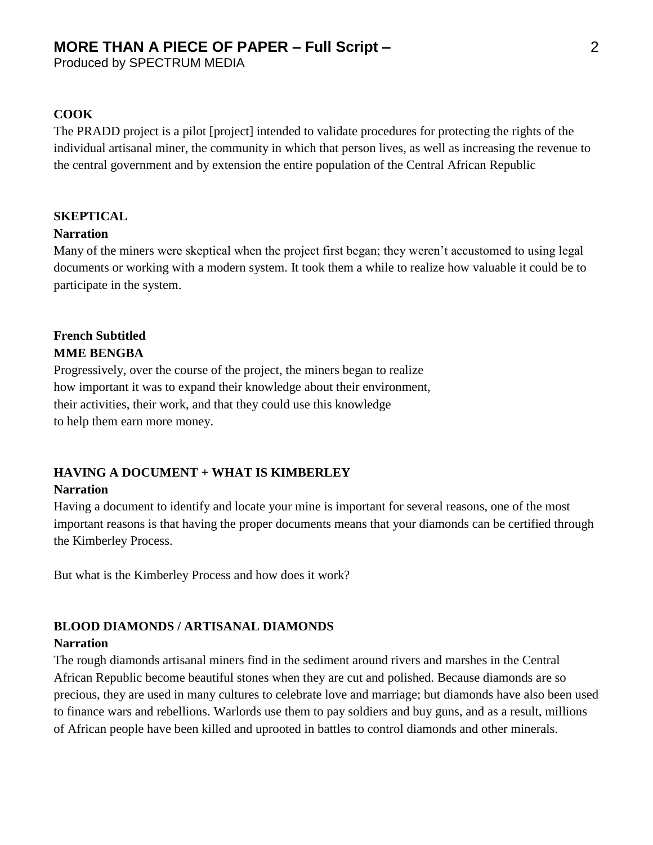#### **COOK**

The PRADD project is a pilot [project] intended to validate procedures for protecting the rights of the individual artisanal miner, the community in which that person lives, as well as increasing the revenue to the central government and by extension the entire population of the Central African Republic

## **SKEPTICAL**

#### **Narration**

Many of the miners were skeptical when the project first began; they weren't accustomed to using legal documents or working with a modern system. It took them a while to realize how valuable it could be to participate in the system.

## **French Subtitled MME BENGBA**

Progressively, over the course of the project, the miners began to realize how important it was to expand their knowledge about their environment, their activities, their work, and that they could use this knowledge to help them earn more money.

## **HAVING A DOCUMENT + WHAT IS KIMBERLEY**

#### **Narration**

Having a document to identify and locate your mine is important for several reasons, one of the most important reasons is that having the proper documents means that your diamonds can be certified through the Kimberley Process.

But what is the Kimberley Process and how does it work?

### **BLOOD DIAMONDS / ARTISANAL DIAMONDS**

#### **Narration**

The rough diamonds artisanal miners find in the sediment around rivers and marshes in the Central African Republic become beautiful stones when they are cut and polished. Because diamonds are so precious, they are used in many cultures to celebrate love and marriage; but diamonds have also been used to finance wars and rebellions. Warlords use them to pay soldiers and buy guns, and as a result, millions of African people have been killed and uprooted in battles to control diamonds and other minerals.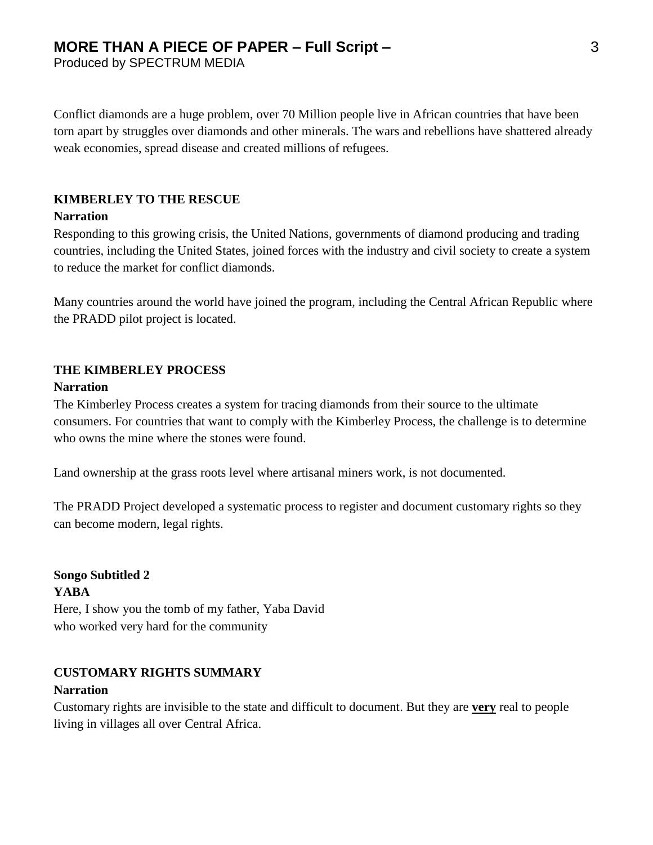Conflict diamonds are a huge problem, over 70 Million people live in African countries that have been torn apart by struggles over diamonds and other minerals. The wars and rebellions have shattered already weak economies, spread disease and created millions of refugees.

### **KIMBERLEY TO THE RESCUE**

#### **Narration**

Responding to this growing crisis, the United Nations, governments of diamond producing and trading countries, including the United States, joined forces with the industry and civil society to create a system to reduce the market for conflict diamonds.

Many countries around the world have joined the program, including the Central African Republic where the PRADD pilot project is located.

#### **THE KIMBERLEY PROCESS**

#### **Narration**

The Kimberley Process creates a system for tracing diamonds from their source to the ultimate consumers. For countries that want to comply with the Kimberley Process, the challenge is to determine who owns the mine where the stones were found.

Land ownership at the grass roots level where artisanal miners work, is not documented.

The PRADD Project developed a systematic process to register and document customary rights so they can become modern, legal rights.

**Songo Subtitled 2 YABA** Here, I show you the tomb of my father, Yaba David who worked very hard for the community

### **CUSTOMARY RIGHTS SUMMARY Narration**

Customary rights are invisible to the state and difficult to document. But they are **very** real to people living in villages all over Central Africa.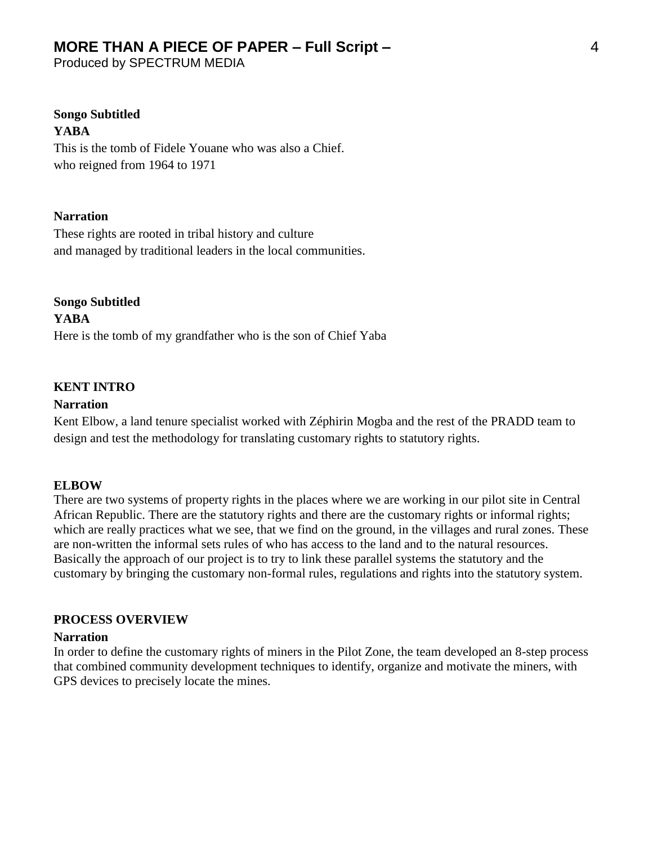Produced by SPECTRUM MEDIA

#### **Songo Subtitled YABA**

This is the tomb of Fidele Youane who was also a Chief. who reigned from 1964 to 1971

#### **Narration**

These rights are rooted in tribal history and culture and managed by traditional leaders in the local communities.

**Songo Subtitled YABA** Here is the tomb of my grandfather who is the son of Chief Yaba

## **KENT INTRO**

#### **Narration**

Kent Elbow, a land tenure specialist worked with Zéphirin Mogba and the rest of the PRADD team to design and test the methodology for translating customary rights to statutory rights.

#### **ELBOW**

There are two systems of property rights in the places where we are working in our pilot site in Central African Republic. There are the statutory rights and there are the customary rights or informal rights; which are really practices what we see, that we find on the ground, in the villages and rural zones. These are non-written the informal sets rules of who has access to the land and to the natural resources. Basically the approach of our project is to try to link these parallel systems the statutory and the customary by bringing the customary non-formal rules, regulations and rights into the statutory system.

#### **PROCESS OVERVIEW**

#### **Narration**

In order to define the customary rights of miners in the Pilot Zone, the team developed an 8-step process that combined community development techniques to identify, organize and motivate the miners, with GPS devices to precisely locate the mines.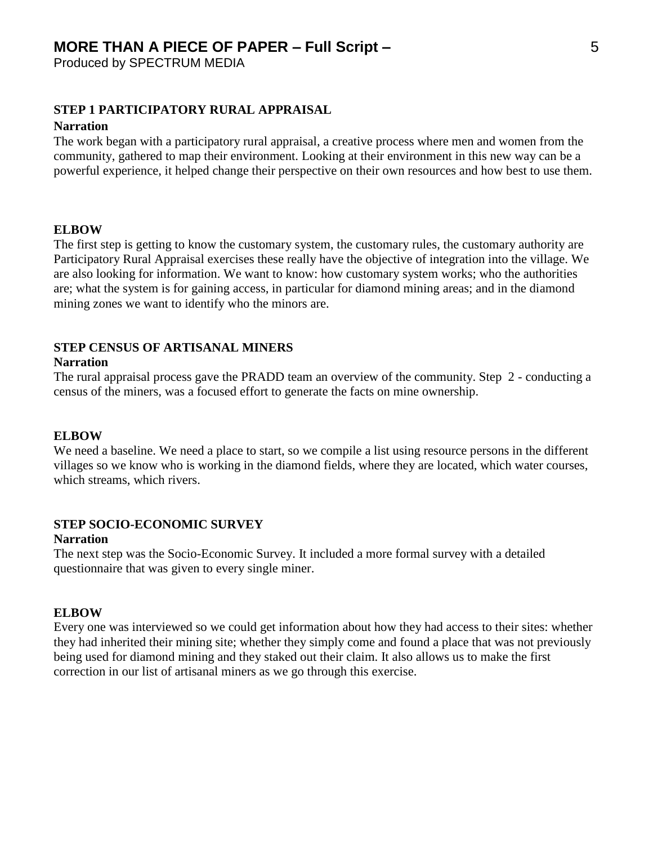Produced by SPECTRUM MEDIA

#### **STEP 1 PARTICIPATORY RURAL APPRAISAL**

#### **Narration**

The work began with a participatory rural appraisal, a creative process where men and women from the community, gathered to map their environment. Looking at their environment in this new way can be a powerful experience, it helped change their perspective on their own resources and how best to use them.

#### **ELBOW**

The first step is getting to know the customary system, the customary rules, the customary authority are Participatory Rural Appraisal exercises these really have the objective of integration into the village. We are also looking for information. We want to know: how customary system works; who the authorities are; what the system is for gaining access, in particular for diamond mining areas; and in the diamond mining zones we want to identify who the minors are.

### **STEP CENSUS OF ARTISANAL MINERS**

#### **Narration**

The rural appraisal process gave the PRADD team an overview of the community. Step 2 - conducting a census of the miners, was a focused effort to generate the facts on mine ownership.

#### **ELBOW**

We need a baseline. We need a place to start, so we compile a list using resource persons in the different villages so we know who is working in the diamond fields, where they are located, which water courses, which streams, which rivers.

#### **STEP SOCIO-ECONOMIC SURVEY Narration**

The next step was the Socio-Economic Survey. It included a more formal survey with a detailed questionnaire that was given to every single miner.

#### **ELBOW**

Every one was interviewed so we could get information about how they had access to their sites: whether they had inherited their mining site; whether they simply come and found a place that was not previously being used for diamond mining and they staked out their claim. It also allows us to make the first correction in our list of artisanal miners as we go through this exercise.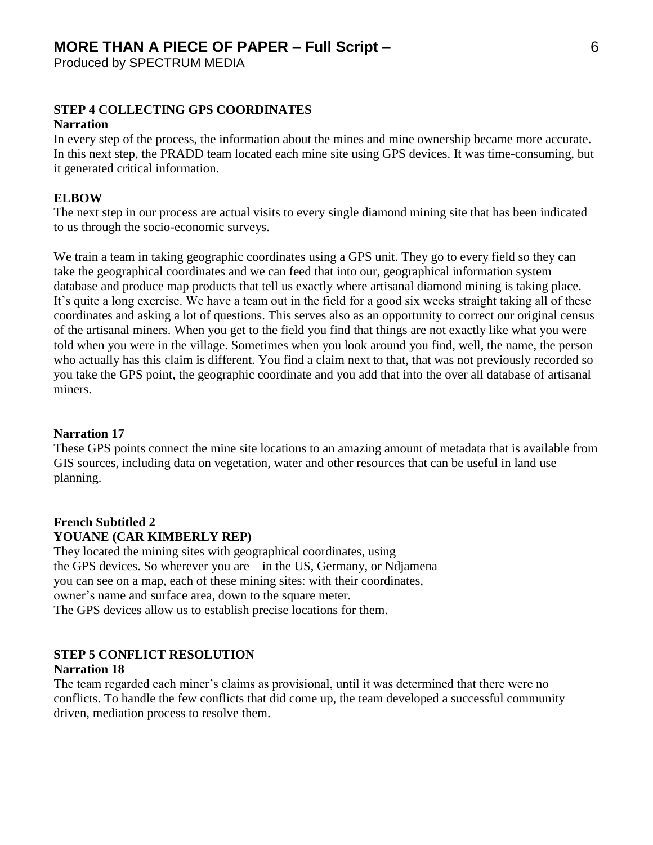#### **STEP 4 COLLECTING GPS COORDINATES**

#### **Narration**

In every step of the process, the information about the mines and mine ownership became more accurate. In this next step, the PRADD team located each mine site using GPS devices. It was time-consuming, but it generated critical information.

#### **ELBOW**

The next step in our process are actual visits to every single diamond mining site that has been indicated to us through the socio-economic surveys.

We train a team in taking geographic coordinates using a GPS unit. They go to every field so they can take the geographical coordinates and we can feed that into our, geographical information system database and produce map products that tell us exactly where artisanal diamond mining is taking place. It's quite a long exercise. We have a team out in the field for a good six weeks straight taking all of these coordinates and asking a lot of questions. This serves also as an opportunity to correct our original census of the artisanal miners. When you get to the field you find that things are not exactly like what you were told when you were in the village. Sometimes when you look around you find, well, the name, the person who actually has this claim is different. You find a claim next to that, that was not previously recorded so you take the GPS point, the geographic coordinate and you add that into the over all database of artisanal miners.

#### **Narration 17**

These GPS points connect the mine site locations to an amazing amount of metadata that is available from GIS sources, including data on vegetation, water and other resources that can be useful in land use planning.

### **French Subtitled 2 YOUANE (CAR KIMBERLY REP)**

They located the mining sites with geographical coordinates, using the GPS devices. So wherever you are – in the US, Germany, or Ndjamena – you can see on a map, each of these mining sites: with their coordinates, owner's name and surface area, down to the square meter. The GPS devices allow us to establish precise locations for them.

### **STEP 5 CONFLICT RESOLUTION**

#### **Narration 18**

The team regarded each miner's claims as provisional, until it was determined that there were no conflicts. To handle the few conflicts that did come up, the team developed a successful community driven, mediation process to resolve them.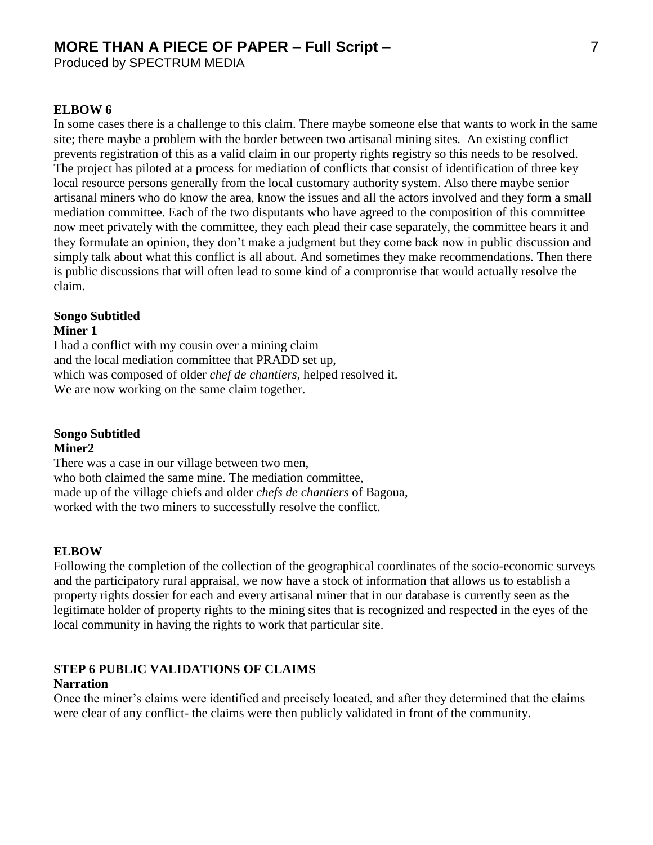Produced by SPECTRUM MEDIA

#### **ELBOW 6**

In some cases there is a challenge to this claim. There maybe someone else that wants to work in the same site; there maybe a problem with the border between two artisanal mining sites. An existing conflict prevents registration of this as a valid claim in our property rights registry so this needs to be resolved. The project has piloted at a process for mediation of conflicts that consist of identification of three key local resource persons generally from the local customary authority system. Also there maybe senior artisanal miners who do know the area, know the issues and all the actors involved and they form a small mediation committee. Each of the two disputants who have agreed to the composition of this committee now meet privately with the committee, they each plead their case separately, the committee hears it and they formulate an opinion, they don't make a judgment but they come back now in public discussion and simply talk about what this conflict is all about. And sometimes they make recommendations. Then there is public discussions that will often lead to some kind of a compromise that would actually resolve the claim.

#### **Songo Subtitled Miner 1**

I had a conflict with my cousin over a mining claim and the local mediation committee that PRADD set up, which was composed of older *chef de chantiers*, helped resolved it. We are now working on the same claim together.

**Songo Subtitled** 

#### **Miner2**

There was a case in our village between two men, who both claimed the same mine. The mediation committee, made up of the village chiefs and older *chefs de chantiers* of Bagoua, worked with the two miners to successfully resolve the conflict.

#### **ELBOW**

Following the completion of the collection of the geographical coordinates of the socio-economic surveys and the participatory rural appraisal, we now have a stock of information that allows us to establish a property rights dossier for each and every artisanal miner that in our database is currently seen as the legitimate holder of property rights to the mining sites that is recognized and respected in the eyes of the local community in having the rights to work that particular site.

## **STEP 6 PUBLIC VALIDATIONS OF CLAIMS**

#### **Narration**

Once the miner's claims were identified and precisely located, and after they determined that the claims were clear of any conflict- the claims were then publicly validated in front of the community.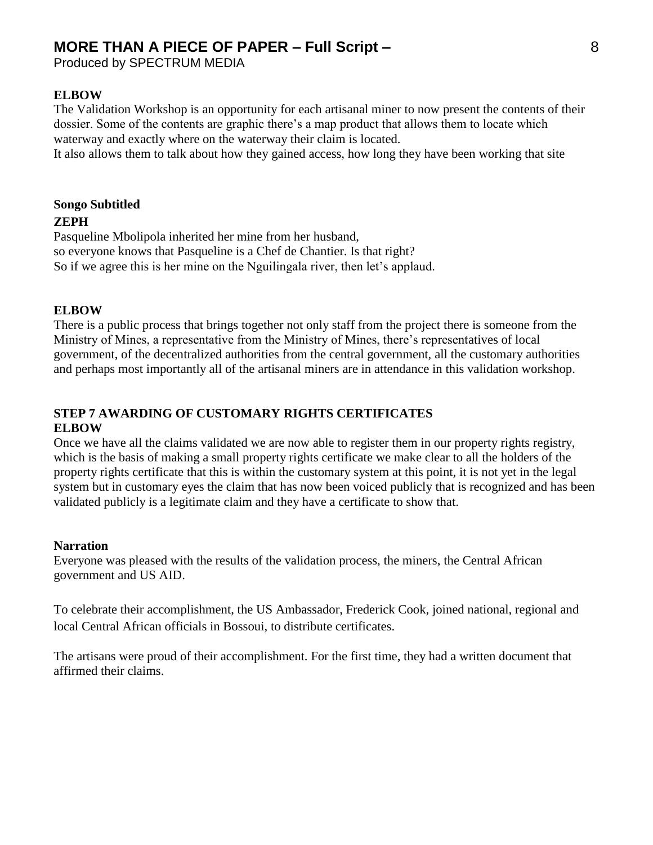Produced by SPECTRUM MEDIA

#### **ELBOW**

The Validation Workshop is an opportunity for each artisanal miner to now present the contents of their dossier. Some of the contents are graphic there's a map product that allows them to locate which waterway and exactly where on the waterway their claim is located.

It also allows them to talk about how they gained access, how long they have been working that site

## **Songo Subtitled ZEPH**

Pasqueline Mbolipola inherited her mine from her husband, so everyone knows that Pasqueline is a Chef de Chantier. Is that right? So if we agree this is her mine on the Nguilingala river, then let's applaud.

#### **ELBOW**

There is a public process that brings together not only staff from the project there is someone from the Ministry of Mines, a representative from the Ministry of Mines, there's representatives of local government, of the decentralized authorities from the central government, all the customary authorities and perhaps most importantly all of the artisanal miners are in attendance in this validation workshop.

#### **STEP 7 AWARDING OF CUSTOMARY RIGHTS CERTIFICATES ELBOW**

Once we have all the claims validated we are now able to register them in our property rights registry, which is the basis of making a small property rights certificate we make clear to all the holders of the property rights certificate that this is within the customary system at this point, it is not yet in the legal system but in customary eyes the claim that has now been voiced publicly that is recognized and has been validated publicly is a legitimate claim and they have a certificate to show that.

#### **Narration**

Everyone was pleased with the results of the validation process, the miners, the Central African government and US AID.

To celebrate their accomplishment, the US Ambassador, Frederick Cook, joined national, regional and local Central African officials in Bossoui, to distribute certificates.

The artisans were proud of their accomplishment. For the first time, they had a written document that affirmed their claims.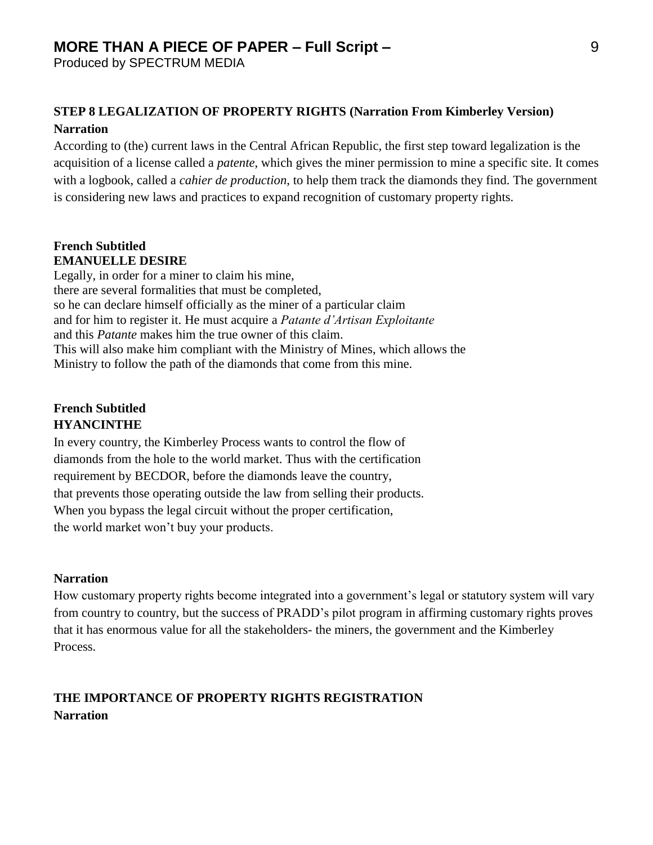Produced by SPECTRUM MEDIA

## **STEP 8 LEGALIZATION OF PROPERTY RIGHTS (Narration From Kimberley Version) Narration**

According to (the) current laws in the Central African Republic, the first step toward legalization is the acquisition of a license called a *patente*, which gives the miner permission to mine a specific site. It comes with a logbook, called a *cahier de production*, to help them track the diamonds they find. The government is considering new laws and practices to expand recognition of customary property rights.

### **French Subtitled EMANUELLE DESIRE**

Legally, in order for a miner to claim his mine, there are several formalities that must be completed, so he can declare himself officially as the miner of a particular claim and for him to register it. He must acquire a *Patante d'Artisan Exploitante* and this *Patante* makes him the true owner of this claim. This will also make him compliant with the Ministry of Mines, which allows the Ministry to follow the path of the diamonds that come from this mine.

## **French Subtitled HYANCINTHE**

In every country, the Kimberley Process wants to control the flow of diamonds from the hole to the world market. Thus with the certification requirement by BECDOR, before the diamonds leave the country, that prevents those operating outside the law from selling their products. When you bypass the legal circuit without the proper certification, the world market won't buy your products.

### **Narration**

How customary property rights become integrated into a government's legal or statutory system will vary from country to country, but the success of PRADD's pilot program in affirming customary rights proves that it has enormous value for all the stakeholders- the miners, the government and the Kimberley Process.

## **THE IMPORTANCE OF PROPERTY RIGHTS REGISTRATION Narration**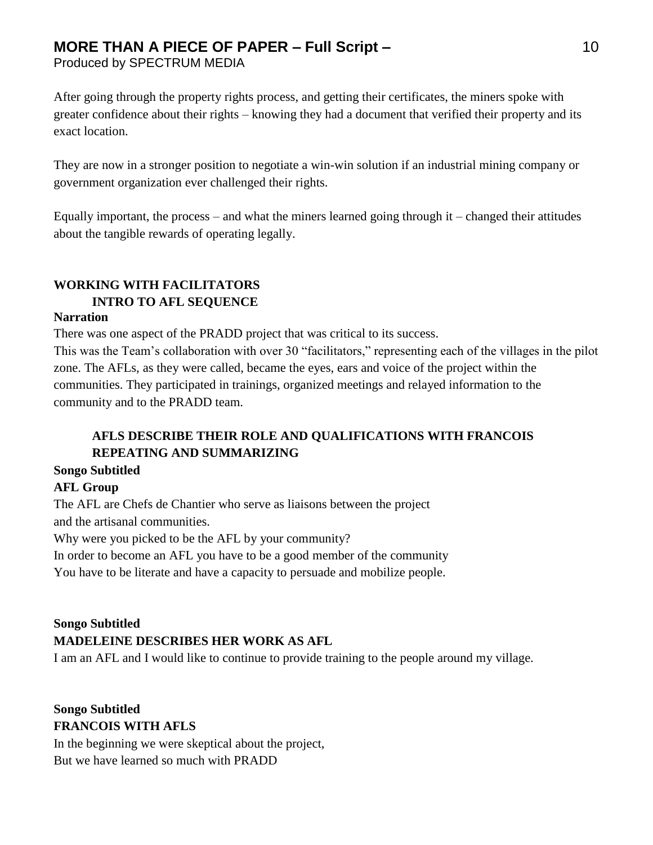Produced by SPECTRUM MEDIA

After going through the property rights process, and getting their certificates, the miners spoke with greater confidence about their rights – knowing they had a document that verified their property and its exact location.

They are now in a stronger position to negotiate a win-win solution if an industrial mining company or government organization ever challenged their rights.

Equally important, the process – and what the miners learned going through it – changed their attitudes about the tangible rewards of operating legally.

## **WORKING WITH FACILITATORS INTRO TO AFL SEQUENCE**

#### **Narration**

There was one aspect of the PRADD project that was critical to its success.

This was the Team's collaboration with over 30 "facilitators," representing each of the villages in the pilot zone. The AFLs, as they were called, became the eyes, ears and voice of the project within the communities. They participated in trainings, organized meetings and relayed information to the community and to the PRADD team.

## **AFLS DESCRIBE THEIR ROLE AND QUALIFICATIONS WITH FRANCOIS REPEATING AND SUMMARIZING**

### **Songo Subtitled**

### **AFL Group**

The AFL are Chefs de Chantier who serve as liaisons between the project and the artisanal communities.

Why were you picked to be the AFL by your community?

In order to become an AFL you have to be a good member of the community

You have to be literate and have a capacity to persuade and mobilize people.

## **Songo Subtitled MADELEINE DESCRIBES HER WORK AS AFL**

I am an AFL and I would like to continue to provide training to the people around my village.

## **Songo Subtitled FRANCOIS WITH AFLS**

In the beginning we were skeptical about the project, But we have learned so much with PRADD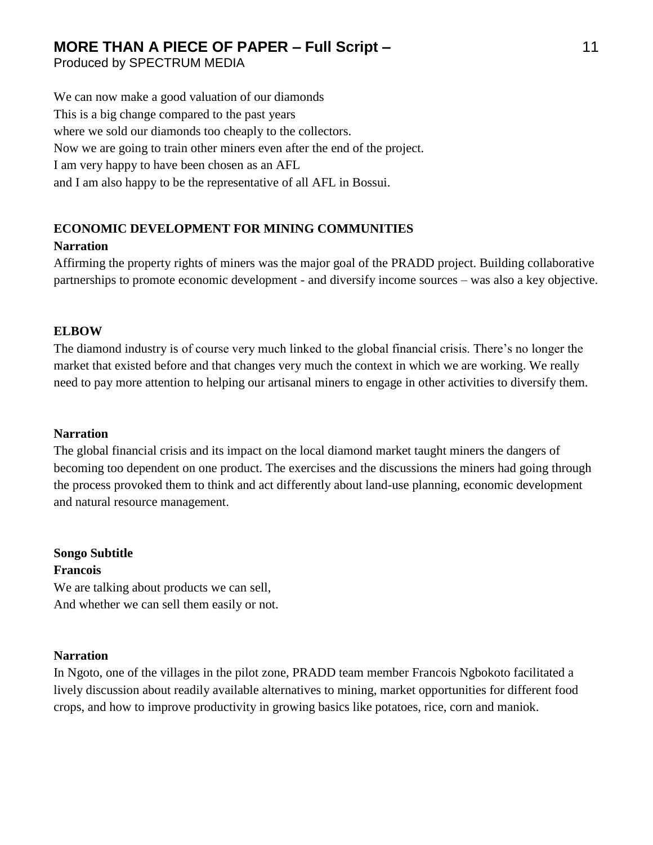Produced by SPECTRUM MEDIA

We can now make a good valuation of our diamonds This is a big change compared to the past years where we sold our diamonds too cheaply to the collectors. Now we are going to train other miners even after the end of the project. I am very happy to have been chosen as an AFL and I am also happy to be the representative of all AFL in Bossui.

## **ECONOMIC DEVELOPMENT FOR MINING COMMUNITIES**

#### **Narration**

Affirming the property rights of miners was the major goal of the PRADD project. Building collaborative partnerships to promote economic development - and diversify income sources – was also a key objective.

#### **ELBOW**

The diamond industry is of course very much linked to the global financial crisis. There's no longer the market that existed before and that changes very much the context in which we are working. We really need to pay more attention to helping our artisanal miners to engage in other activities to diversify them.

#### **Narration**

The global financial crisis and its impact on the local diamond market taught miners the dangers of becoming too dependent on one product. The exercises and the discussions the miners had going through the process provoked them to think and act differently about land-use planning, economic development and natural resource management.

**Songo Subtitle Francois** We are talking about products we can sell,

And whether we can sell them easily or not.

#### **Narration**

In Ngoto, one of the villages in the pilot zone, PRADD team member Francois Ngbokoto facilitated a lively discussion about readily available alternatives to mining, market opportunities for different food crops, and how to improve productivity in growing basics like potatoes, rice, corn and maniok.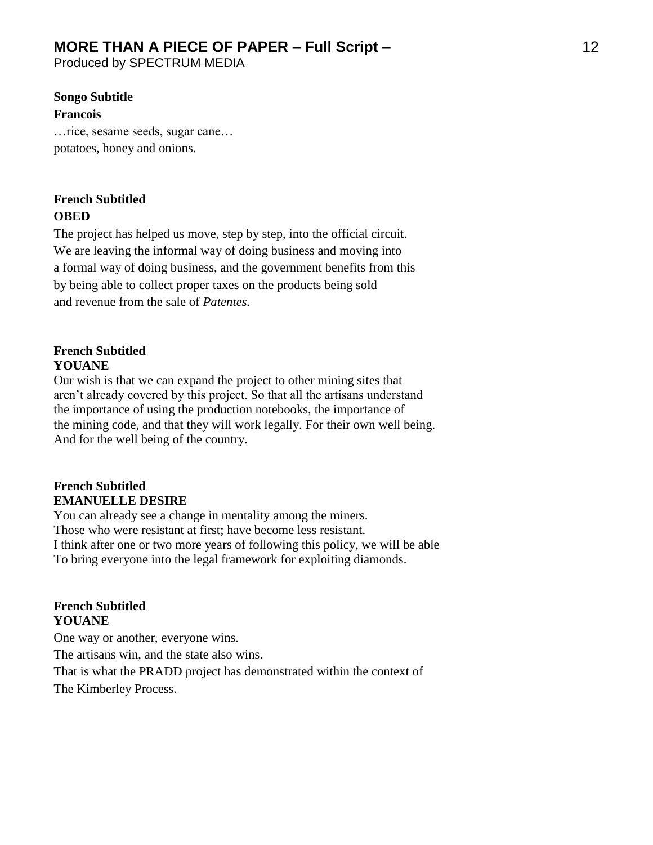Produced by SPECTRUM MEDIA

#### **Songo Subtitle**

#### **Francois**

…rice, sesame seeds, sugar cane… potatoes, honey and onions.

## **French Subtitled OBED**

The project has helped us move, step by step, into the official circuit. We are leaving the informal way of doing business and moving into a formal way of doing business, and the government benefits from this by being able to collect proper taxes on the products being sold and revenue from the sale of *Patentes.*

#### **French Subtitled YOUANE**

Our wish is that we can expand the project to other mining sites that aren't already covered by this project. So that all the artisans understand the importance of using the production notebooks, the importance of the mining code, and that they will work legally. For their own well being. And for the well being of the country.

#### **French Subtitled EMANUELLE DESIRE**

You can already see a change in mentality among the miners. Those who were resistant at first; have become less resistant. I think after one or two more years of following this policy, we will be able To bring everyone into the legal framework for exploiting diamonds.

#### **French Subtitled YOUANE**

One way or another, everyone wins.

The artisans win, and the state also wins.

That is what the PRADD project has demonstrated within the context of The Kimberley Process.